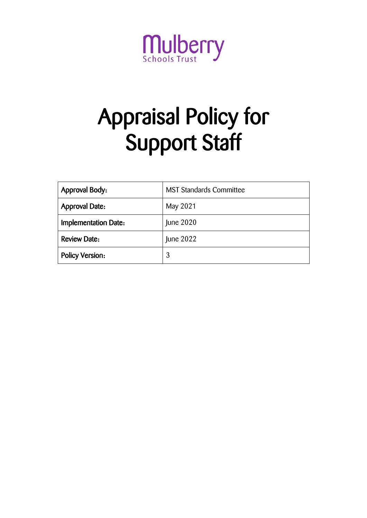

# Appraisal Policy for Support Staff

| <b>Approval Body:</b>       | <b>MST Standards Committee</b> |
|-----------------------------|--------------------------------|
| <b>Approval Date:</b>       | May 2021                       |
| <b>Implementation Date:</b> | June 2020                      |
| <b>Review Date:</b>         | June 2022                      |
| <b>Policy Version:</b>      | 3                              |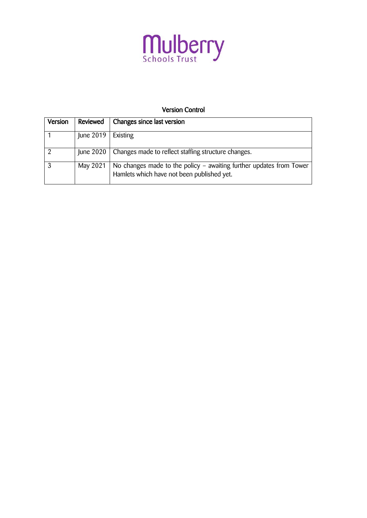

# Version Control

| Version | Reviewed      | Changes since last version                                                                                        |
|---------|---------------|-------------------------------------------------------------------------------------------------------------------|
|         | June 2019 $ $ | Existing                                                                                                          |
|         | June 2020     | Changes made to reflect staffing structure changes.                                                               |
|         | May 2021      | No changes made to the policy – awaiting further updates from Tower<br>Hamlets which have not been published yet. |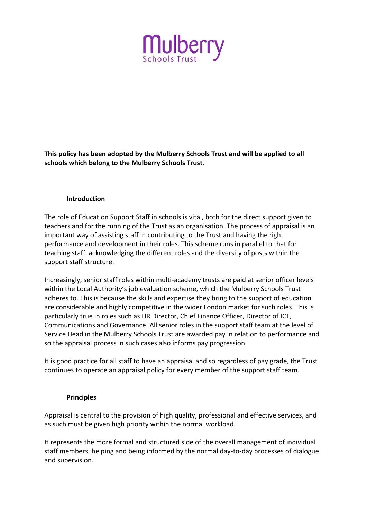

**This policy has been adopted by the Mulberry Schools Trust and will be applied to all schools which belong to the Mulberry Schools Trust.**

#### **Introduction**

The role of Education Support Staff in schools is vital, both for the direct support given to teachers and for the running of the Trust as an organisation. The process of appraisal is an important way of assisting staff in contributing to the Trust and having the right performance and development in their roles. This scheme runs in parallel to that for teaching staff, acknowledging the different roles and the diversity of posts within the support staff structure.

Increasingly, senior staff roles within multi-academy trusts are paid at senior officer levels within the Local Authority's job evaluation scheme, which the Mulberry Schools Trust adheres to. This is because the skills and expertise they bring to the support of education are considerable and highly competitive in the wider London market for such roles. This is particularly true in roles such as HR Director, Chief Finance Officer, Director of ICT, Communications and Governance. All senior roles in the support staff team at the level of Service Head in the Mulberry Schools Trust are awarded pay in relation to performance and so the appraisal process in such cases also informs pay progression.

It is good practice for all staff to have an appraisal and so regardless of pay grade, the Trust continues to operate an appraisal policy for every member of the support staff team.

#### **Principles**

Appraisal is central to the provision of high quality, professional and effective services, and as such must be given high priority within the normal workload.

It represents the more formal and structured side of the overall management of individual staff members, helping and being informed by the normal day-to-day processes of dialogue and supervision.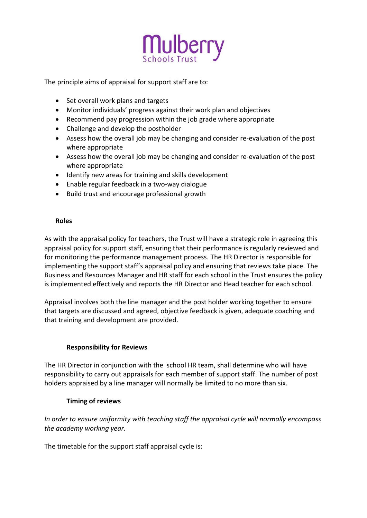

The principle aims of appraisal for support staff are to:

- Set overall work plans and targets
- Monitor individuals' progress against their work plan and objectives
- Recommend pay progression within the job grade where appropriate
- Challenge and develop the postholder
- Assess how the overall job may be changing and consider re-evaluation of the post where appropriate
- Assess how the overall job may be changing and consider re-evaluation of the post where appropriate
- Identify new areas for training and skills development
- Enable regular feedback in a two-way dialogue
- Build trust and encourage professional growth

#### **Roles**

As with the appraisal policy for teachers, the Trust will have a strategic role in agreeing this appraisal policy for support staff, ensuring that their performance is regularly reviewed and for monitoring the performance management process. The HR Director is responsible for implementing the support staff's appraisal policy and ensuring that reviews take place. The Business and Resources Manager and HR staff for each school in the Trust ensures the policy is implemented effectively and reports the HR Director and Head teacher for each school.

Appraisal involves both the line manager and the post holder working together to ensure that targets are discussed and agreed, objective feedback is given, adequate coaching and that training and development are provided.

# **Responsibility for Reviews**

The HR Director in conjunction with the school HR team, shall determine who will have responsibility to carry out appraisals for each member of support staff. The number of post holders appraised by a line manager will normally be limited to no more than six.

# **Timing of reviews**

*In order to ensure uniformity with teaching staff the appraisal cycle will normally encompass the academy working year.*

The timetable for the support staff appraisal cycle is: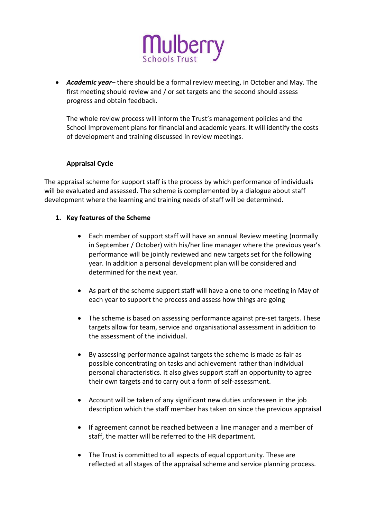

 *Academic year–* there should be a formal review meeting, in October and May. The first meeting should review and / or set targets and the second should assess progress and obtain feedback.

The whole review process will inform the Trust's management policies and the School Improvement plans for financial and academic years. It will identify the costs of development and training discussed in review meetings.

# **Appraisal Cycle**

The appraisal scheme for support staff is the process by which performance of individuals will be evaluated and assessed. The scheme is complemented by a dialogue about staff development where the learning and training needs of staff will be determined.

#### **1. Key features of the Scheme**

- Each member of support staff will have an annual Review meeting (normally in September / October) with his/her line manager where the previous year's performance will be jointly reviewed and new targets set for the following year. In addition a personal development plan will be considered and determined for the next year.
- As part of the scheme support staff will have a one to one meeting in May of each year to support the process and assess how things are going
- The scheme is based on assessing performance against pre-set targets. These targets allow for team, service and organisational assessment in addition to the assessment of the individual.
- By assessing performance against targets the scheme is made as fair as possible concentrating on tasks and achievement rather than individual personal characteristics. It also gives support staff an opportunity to agree their own targets and to carry out a form of self-assessment.
- Account will be taken of any significant new duties unforeseen in the job description which the staff member has taken on since the previous appraisal
- If agreement cannot be reached between a line manager and a member of staff, the matter will be referred to the HR department.
- The Trust is committed to all aspects of equal opportunity. These are reflected at all stages of the appraisal scheme and service planning process.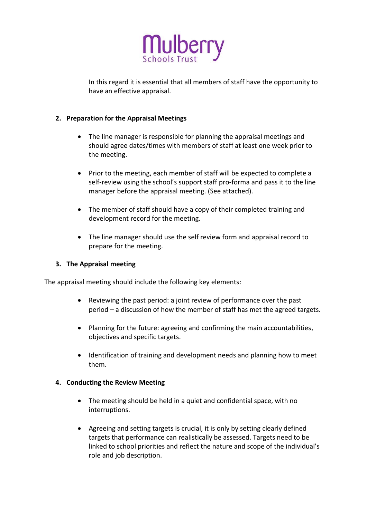

In this regard it is essential that all members of staff have the opportunity to have an effective appraisal.

### **2. Preparation for the Appraisal Meetings**

- The line manager is responsible for planning the appraisal meetings and should agree dates/times with members of staff at least one week prior to the meeting.
- Prior to the meeting, each member of staff will be expected to complete a self-review using the school's support staff pro-forma and pass it to the line manager before the appraisal meeting. (See attached).
- The member of staff should have a copy of their completed training and development record for the meeting.
- The line manager should use the self review form and appraisal record to prepare for the meeting.

#### **3. The Appraisal meeting**

The appraisal meeting should include the following key elements:

- Reviewing the past period: a joint review of performance over the past period – a discussion of how the member of staff has met the agreed targets.
- Planning for the future: agreeing and confirming the main accountabilities, objectives and specific targets.
- Identification of training and development needs and planning how to meet them.

#### **4. Conducting the Review Meeting**

- The meeting should be held in a quiet and confidential space, with no interruptions.
- Agreeing and setting targets is crucial, it is only by setting clearly defined targets that performance can realistically be assessed. Targets need to be linked to school priorities and reflect the nature and scope of the individual's role and job description.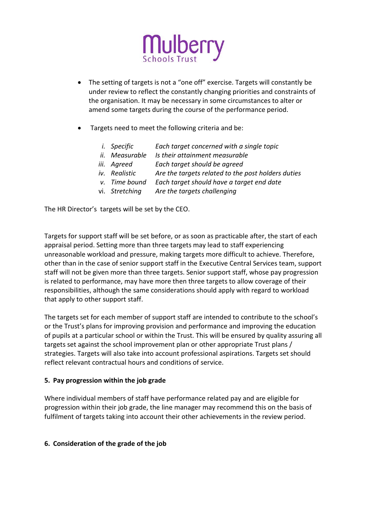

- The setting of targets is not a "one off" exercise. Targets will constantly be under review to reflect the constantly changing priorities and constraints of the organisation. It may be necessary in some circumstances to alter or amend some targets during the course of the performance period.
- Targets need to meet the following criteria and be:
	- *i. Specific Each target concerned with a single topic*
	- *ii. Measurable Is their attainment measurable*
	- *iii. Agreed Each target should be agreed*
	- *iv. Realistic Are the targets related to the post holders duties*
	- *v. Time bound Each target should have a target end date*
	- vi. *Stretching Are the targets challenging*

The HR Director's targets will be set by the CEO.

Targets for support staff will be set before, or as soon as practicable after, the start of each appraisal period. Setting more than three targets may lead to staff experiencing unreasonable workload and pressure, making targets more difficult to achieve. Therefore, other than in the case of senior support staff in the Executive Central Services team, support staff will not be given more than three targets. Senior support staff, whose pay progression is related to performance, may have more then three targets to allow coverage of their responsibilities, although the same considerations should apply with regard to workload that apply to other support staff.

The targets set for each member of support staff are intended to contribute to the school's or the Trust's plans for improving provision and performance and improving the education of pupils at a particular school or within the Trust. This will be ensured by quality assuring all targets set against the school improvement plan or other appropriate Trust plans / strategies. Targets will also take into account professional aspirations. Targets set should reflect relevant contractual hours and conditions of service.

# **5. Pay progression within the job grade**

Where individual members of staff have performance related pay and are eligible for progression within their job grade, the line manager may recommend this on the basis of fulfilment of targets taking into account their other achievements in the review period.

# **6. Consideration of the grade of the job**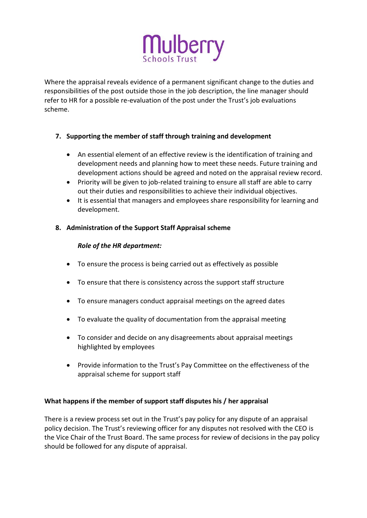

Where the appraisal reveals evidence of a permanent significant change to the duties and responsibilities of the post outside those in the job description, the line manager should refer to HR for a possible re-evaluation of the post under the Trust's job evaluations scheme.

# **7. Supporting the member of staff through training and development**

- An essential element of an effective review is the identification of training and development needs and planning how to meet these needs. Future training and development actions should be agreed and noted on the appraisal review record.
- Priority will be given to job-related training to ensure all staff are able to carry out their duties and responsibilities to achieve their individual objectives.
- It is essential that managers and employees share responsibility for learning and development.

# **8. Administration of the Support Staff Appraisal scheme**

# *Role of the HR department:*

- To ensure the process is being carried out as effectively as possible
- To ensure that there is consistency across the support staff structure
- To ensure managers conduct appraisal meetings on the agreed dates
- To evaluate the quality of documentation from the appraisal meeting
- To consider and decide on any disagreements about appraisal meetings highlighted by employees
- Provide information to the Trust's Pay Committee on the effectiveness of the appraisal scheme for support staff

# **What happens if the member of support staff disputes his / her appraisal**

There is a review process set out in the Trust's pay policy for any dispute of an appraisal policy decision. The Trust's reviewing officer for any disputes not resolved with the CEO is the Vice Chair of the Trust Board. The same process for review of decisions in the pay policy should be followed for any dispute of appraisal.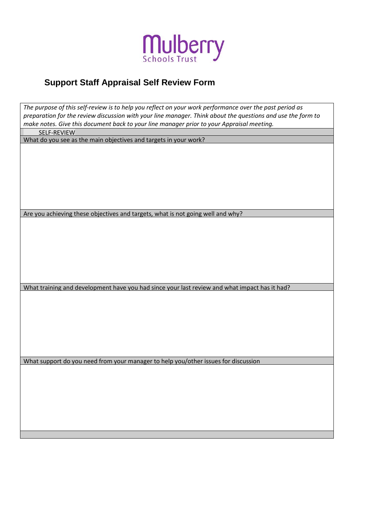

# **Support Staff Appraisal Self Review Form**

| The purpose of this self-review is to help you reflect on your work performance over the past period as<br>preparation for the review discussion with your line manager. Think about the questions and use the form to<br>make notes. Give this document back to your line manager prior to your Appraisal meeting. |
|---------------------------------------------------------------------------------------------------------------------------------------------------------------------------------------------------------------------------------------------------------------------------------------------------------------------|
| SELF-REVIEW                                                                                                                                                                                                                                                                                                         |
| What do you see as the main objectives and targets in your work?                                                                                                                                                                                                                                                    |
|                                                                                                                                                                                                                                                                                                                     |
| Are you achieving these objectives and targets, what is not going well and why?                                                                                                                                                                                                                                     |
|                                                                                                                                                                                                                                                                                                                     |
| What training and development have you had since your last review and what impact has it had?                                                                                                                                                                                                                       |
|                                                                                                                                                                                                                                                                                                                     |
| What support do you need from your manager to help you/other issues for discussion                                                                                                                                                                                                                                  |
|                                                                                                                                                                                                                                                                                                                     |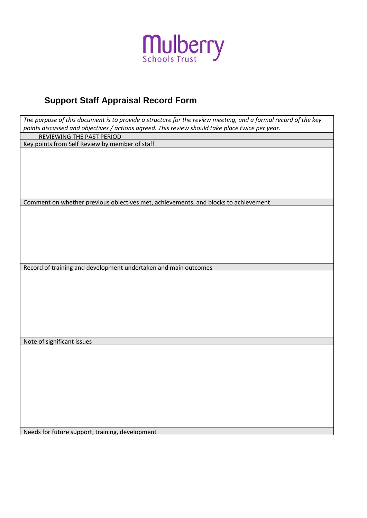

# **Support Staff Appraisal Record Form**

| REVIEWING THE PAST PERIOD<br>Key points from Self Review by member of staff<br>Comment on whether previous objectives met, achievements, and blocks to achievement<br>Record of training and development undertaken and main outcomes<br>Note of significant issues<br>Needs for future support, training, development | The purpose of this document is to provide a structure for the review meeting, and a formal record of the key |
|------------------------------------------------------------------------------------------------------------------------------------------------------------------------------------------------------------------------------------------------------------------------------------------------------------------------|---------------------------------------------------------------------------------------------------------------|
|                                                                                                                                                                                                                                                                                                                        | points discussed and objectives / actions agreed. This review should take place twice per year.               |
|                                                                                                                                                                                                                                                                                                                        |                                                                                                               |
|                                                                                                                                                                                                                                                                                                                        |                                                                                                               |
|                                                                                                                                                                                                                                                                                                                        |                                                                                                               |
|                                                                                                                                                                                                                                                                                                                        |                                                                                                               |
|                                                                                                                                                                                                                                                                                                                        |                                                                                                               |
|                                                                                                                                                                                                                                                                                                                        |                                                                                                               |
|                                                                                                                                                                                                                                                                                                                        |                                                                                                               |
|                                                                                                                                                                                                                                                                                                                        |                                                                                                               |
|                                                                                                                                                                                                                                                                                                                        |                                                                                                               |
|                                                                                                                                                                                                                                                                                                                        |                                                                                                               |
|                                                                                                                                                                                                                                                                                                                        |                                                                                                               |
|                                                                                                                                                                                                                                                                                                                        |                                                                                                               |
|                                                                                                                                                                                                                                                                                                                        |                                                                                                               |
|                                                                                                                                                                                                                                                                                                                        |                                                                                                               |
|                                                                                                                                                                                                                                                                                                                        |                                                                                                               |
|                                                                                                                                                                                                                                                                                                                        |                                                                                                               |
|                                                                                                                                                                                                                                                                                                                        |                                                                                                               |
|                                                                                                                                                                                                                                                                                                                        |                                                                                                               |
|                                                                                                                                                                                                                                                                                                                        |                                                                                                               |
|                                                                                                                                                                                                                                                                                                                        |                                                                                                               |
|                                                                                                                                                                                                                                                                                                                        |                                                                                                               |
|                                                                                                                                                                                                                                                                                                                        |                                                                                                               |
|                                                                                                                                                                                                                                                                                                                        |                                                                                                               |
|                                                                                                                                                                                                                                                                                                                        |                                                                                                               |
|                                                                                                                                                                                                                                                                                                                        |                                                                                                               |
|                                                                                                                                                                                                                                                                                                                        |                                                                                                               |
|                                                                                                                                                                                                                                                                                                                        |                                                                                                               |
|                                                                                                                                                                                                                                                                                                                        |                                                                                                               |
|                                                                                                                                                                                                                                                                                                                        |                                                                                                               |
|                                                                                                                                                                                                                                                                                                                        |                                                                                                               |
|                                                                                                                                                                                                                                                                                                                        |                                                                                                               |
|                                                                                                                                                                                                                                                                                                                        |                                                                                                               |
|                                                                                                                                                                                                                                                                                                                        |                                                                                                               |
|                                                                                                                                                                                                                                                                                                                        |                                                                                                               |
|                                                                                                                                                                                                                                                                                                                        |                                                                                                               |
|                                                                                                                                                                                                                                                                                                                        |                                                                                                               |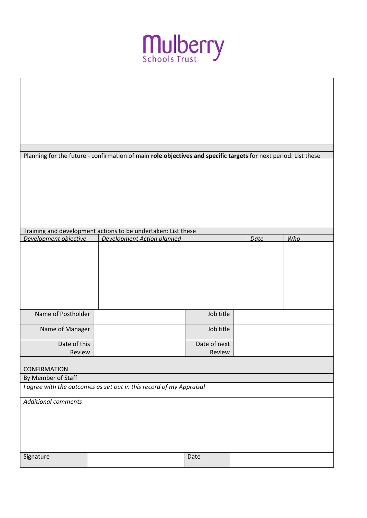

|                                                                     | Planning for the future - confirmation of main role objectives and specific targets for next period: List these |              |      |     |
|---------------------------------------------------------------------|-----------------------------------------------------------------------------------------------------------------|--------------|------|-----|
|                                                                     |                                                                                                                 |              |      |     |
|                                                                     |                                                                                                                 |              |      |     |
|                                                                     |                                                                                                                 |              |      |     |
|                                                                     |                                                                                                                 |              |      |     |
|                                                                     |                                                                                                                 |              |      |     |
|                                                                     | Training and development actions to be undertaken: List these                                                   |              |      |     |
| Development objective                                               | Development Action planned                                                                                      |              | Date | Who |
|                                                                     |                                                                                                                 |              |      |     |
|                                                                     |                                                                                                                 |              |      |     |
|                                                                     |                                                                                                                 |              |      |     |
|                                                                     |                                                                                                                 |              |      |     |
|                                                                     |                                                                                                                 |              |      |     |
| Name of Postholder                                                  |                                                                                                                 | Job title    |      |     |
|                                                                     |                                                                                                                 |              |      |     |
| Name of Manager                                                     |                                                                                                                 | Job title    |      |     |
| Date of this                                                        |                                                                                                                 | Date of next |      |     |
| Review                                                              |                                                                                                                 | Review       |      |     |
| <b>CONFIRMATION</b>                                                 |                                                                                                                 |              |      |     |
| By Member of Staff                                                  |                                                                                                                 |              |      |     |
| I agree with the outcomes as set out in this record of my Appraisal |                                                                                                                 |              |      |     |
| <b>Additional comments</b>                                          |                                                                                                                 |              |      |     |
|                                                                     |                                                                                                                 |              |      |     |
|                                                                     |                                                                                                                 |              |      |     |
|                                                                     |                                                                                                                 |              |      |     |
|                                                                     |                                                                                                                 |              |      |     |
| Signature                                                           |                                                                                                                 | Date         |      |     |